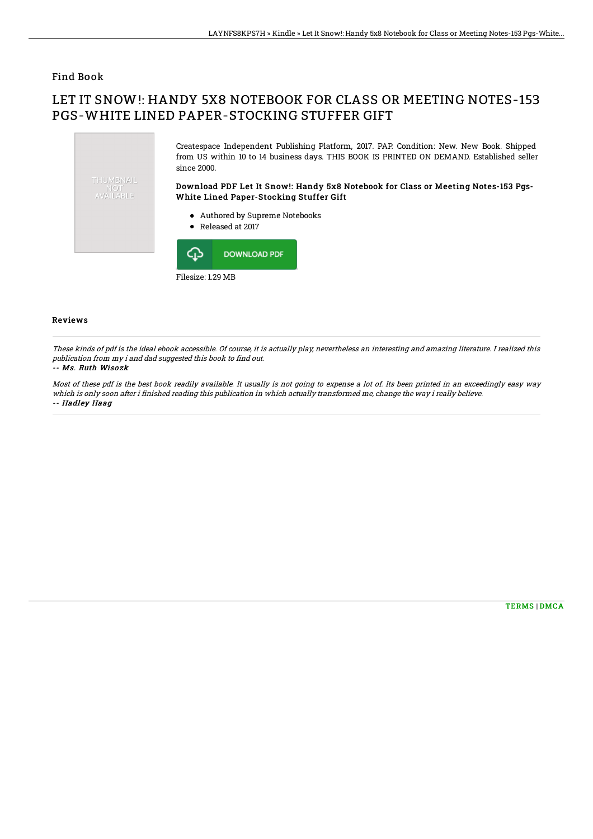### Find Book

# LET IT SNOW!: HANDY 5X8 NOTEBOOK FOR CLASS OR MEETING NOTES-153 PGS-WHITE LINED PAPER-STOCKING STUFFER GIFT



#### Reviews

These kinds of pdf is the ideal ebook accessible. Of course, it is actually play, nevertheless an interesting and amazing literature. I realized this publication from my i and dad suggested this book to find out.

#### -- Ms. Ruth Wisozk

Most of these pdf is the best book readily available. It usually is not going to expense <sup>a</sup> lot of. Its been printed in an exceedingly easy way which is only soon after i finished reading this publication in which actually transformed me, change the way i really believe. -- Hadley Haag